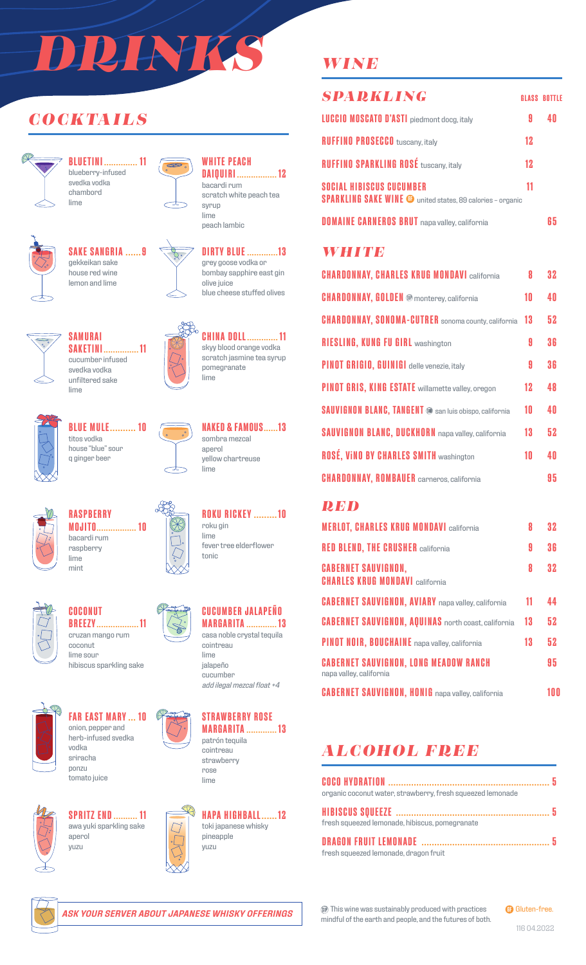# *DRINKS*

## *COCKTAILS*



**BLUETINI .............. 11** blueberry-infused svedka vodka chambord lime



## **SAKE SANGRIA ......9** gekkeikan sake



**SAKETINI............... 11** cucumber infused svedka vodka unfiltered sake





#### **WHITE PEACH DAIQUIRI ................. 12** bacardi rum

scratch white peach tea syrup lime peach lambic



grey goose vodka or bombay sapphire east gin olive juice blue cheese stuffed olives



 $\infty$ 

**CHINA DOLL............. 11** skyy blood orange vodka scratch jasmine tea syrup pomegranate lime



**BLUE MULE.......... 10** titos vodka house "blue" sour q ginger beer

**SAMURAI**

lime



**NAKED & FAMOUS......13** sombra mezcal aperol yellow chartreuse lime

**ROKU RICKEY .........10**

fever tree elderflower

roku gin lime

tonic



lime

#### **RASPBERRY MOJITO................. 10** bacardi rum raspberry mint



**COCONUT BREEZY.................. 11** cruzan mango rum coconut lime sour

hibiscus sparkling sake



**FAR EAST MARY ... 10** onion, pepper and herb-infused svedka vodka sriracha ponzu

tomato juice





cucumber *add ilegal mezcal float +4*



**MARGARITA ............. 13** cointreau strawberry rose lime



**SPRITZ END.......... 11** awa yuki sparkling sake aperol yuzu





## *WINE*

| SPARKLING                                                                                            |    | <b>GLASS BOTTLE</b> |
|------------------------------------------------------------------------------------------------------|----|---------------------|
| <b>LUCCIO MOSCATO D'ASTI</b> piedmont docg, italy                                                    | Я  |                     |
| <b>RUFFINO PROSECCO</b> tuscany, italy                                                               | 12 |                     |
| <b>RUFFINO SPARKLING ROSÉ tuscany, italy</b>                                                         | 12 |                     |
| <b>SOCIAL HIBISCUS CUCUMBER</b><br><b>SPARKLING SAKE WINE @</b> united states, 89 calories - organic | 11 |                     |
| <b>DOMAINE CARNEROS BRUT</b> napa valley, california                                                 |    |                     |

### *WHITE*

| <b>CHARDONNAY, CHARLES KRUG MONDAVI california</b>            | 8  | 32 |
|---------------------------------------------------------------|----|----|
| <b>CHARDONNAY, GOLDEN ®</b> monterey, california              | 10 | 40 |
| <b>CHARDONNAY, SONOMA-CUTRER</b> sonoma county, california    | 13 | 52 |
| <b>RIESLING, KUNG FU GIRL washington</b>                      | A  | 36 |
| PINOT GRIGIO, GUINIGI delle venezie, italy                    | 9  | 36 |
| <b>PINOT GRIS, KING ESTATE</b> willamette valley, oregon      | 12 | 48 |
| <b>SAUVIGNON BLANC, TANGENT ®</b> san luis obispo, california | 10 | 40 |
| <b>SAUVIGNON BLANC, DUCKHORN</b> napa valley, california      | 13 | 52 |
| <b>ROSÉ, VINO BY CHARLES SMITH washington</b>                 | 10 | 40 |
| <b>CHARDONNAY, ROMBAUER</b> carneros, california              |    | 95 |

## *RED*

| <b>MERLOT, CHARLES KRUG MONDAVI california</b>                          | 8  | 32  |
|-------------------------------------------------------------------------|----|-----|
| <b>RED BLEND, THE CRUSHER california</b>                                | 9  | 36  |
| <b>CABERNET SAUVIGNON,</b><br><b>CHARLES KRUG MONDAVI california</b>    | 8  | 32  |
| <b>CABERNET SAUVIGNON, AVIARY</b> napa valley, california               | 11 | 44  |
| <b>CABERNET SAUVIGNON, AQUINAS</b> north coast, california              | 13 | 52  |
| <b>PINOT NOIR, BOUCHAINE</b> napa valley, california                    | 13 | 52  |
| <b>CABERNET SAUVIGNON, LONG MEADOW RANCH</b><br>napa valley, california |    | 95  |
| <b>CABERNET SAUVIGNON, HONIG</b> napa valley, california                |    | 100 |

# *ALCOHOL FREE*

| organic coconut water, strawberry, fresh squeezed lemonade |  |
|------------------------------------------------------------|--|
|                                                            |  |
| fresh squeezed lemonade, hibiscus, pomegranate             |  |
|                                                            |  |
| fresh squeezed lemonade, dragon fruit                      |  |



*ASK YOUR SERVER ABOUT JAPANESE WHISKY OFFERINGS*

This wine was sustainably produced with practices mindful of the earth and people, and the futures of both. **GB** Gluten-free.